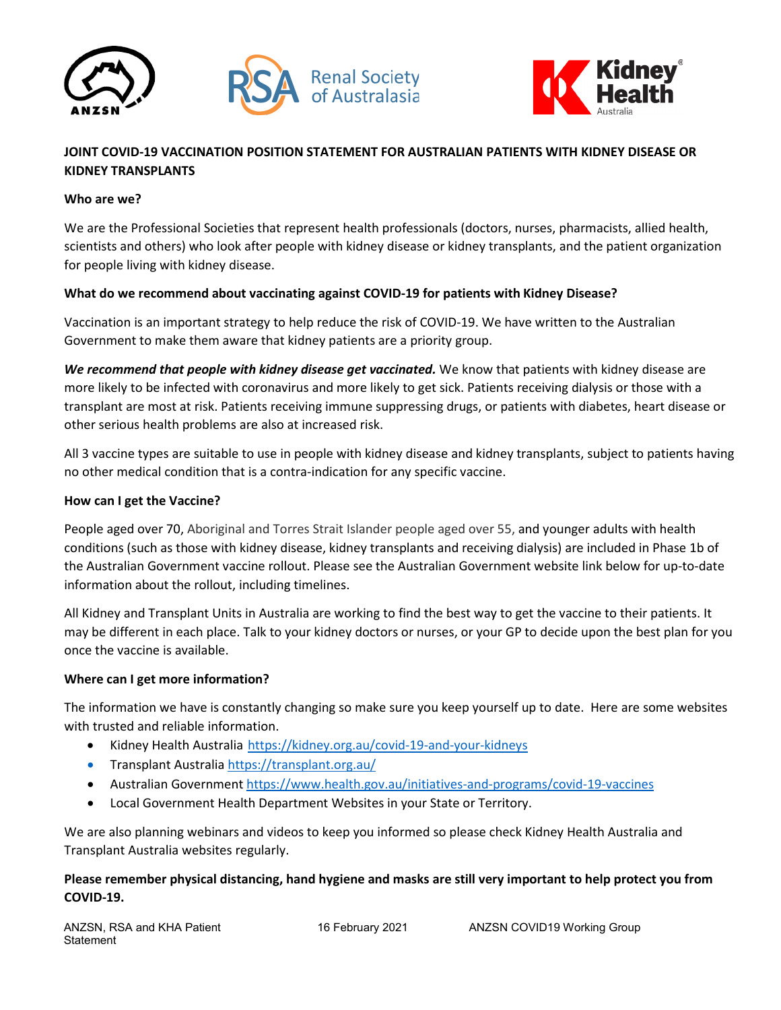



# **JOINT COVID-19 VACCINATION POSITION STATEMENT FOR AUSTRALIAN PATIENTS WITH KIDNEY DISEASE OR KIDNEY TRANSPLANTS**

#### **Who are we?**

We are the Professional Societies that represent health professionals (doctors, nurses, pharmacists, allied health, scientists and others) who look after people with kidney disease or kidney transplants, and the patient organization for people living with kidney disease.

## **What do we recommend about vaccinating against COVID-19 for patients with Kidney Disease?**

Vaccination is an important strategy to help reduce the risk of COVID-19. We have written to the Australian Government to make them aware that kidney patients are a priority group.

*We recommend that people with kidney disease get vaccinated.* We know that patients with kidney disease are more likely to be infected with coronavirus and more likely to get sick. Patients receiving dialysis or those with a transplant are most at risk. Patients receiving immune suppressing drugs, or patients with diabetes, heart disease or other serious health problems are also at increased risk.

All 3 vaccine types are suitable to use in people with kidney disease and kidney transplants, subject to patients having no other medical condition that is a contra-indication for any specific vaccine.

#### **How can I get the Vaccine?**

People aged over 70, Aboriginal and Torres Strait Islander people aged over 55, and younger adults with health conditions (such as those with kidney disease, kidney transplants and receiving dialysis) are included in Phase 1b of the Australian Government vaccine rollout. Please see the Australian Government website link below for up-to-date information about the rollout, including timelines.

All Kidney and Transplant Units in Australia are working to find the best way to get the vaccine to their patients. It may be different in each place. Talk to your kidney doctors or nurses, or your GP to decide upon the best plan for you once the vaccine is available.

#### **Where can I get more information?**

The information we have is constantly changing so make sure you keep yourself up to date. Here are some websites with trusted and reliable information.

- Kidney Health Australia <https://kidney.org.au/covid-19-and-your-kidneys>
- Transplant Australi[a https://transplant.org.au/](https://transplant.org.au/)
- Australian Government<https://www.health.gov.au/initiatives-and-programs/covid-19-vaccines>
- Local Government Health Department Websites in your State or Territory.

We are also planning webinars and videos to keep you informed so please check Kidney Health Australia and Transplant Australia websites regularly.

# **Please remember physical distancing, hand hygiene and masks are still very important to help protect you from COVID-19.**